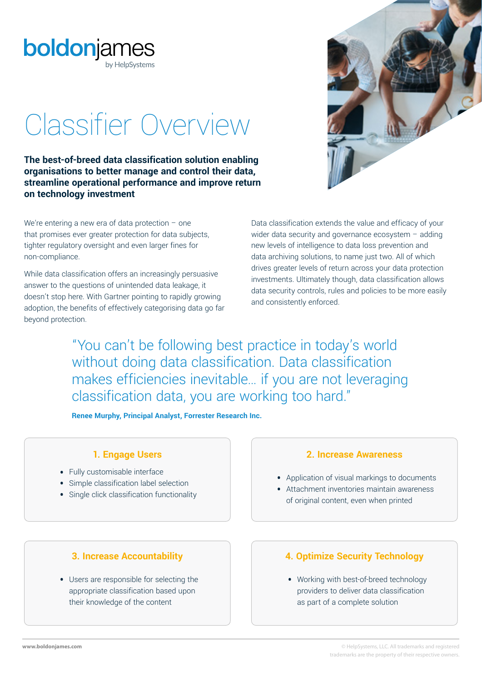

# Classifier Overview

**The best-of-breed data classification solution enabling organisations to better manage and control their data, streamline operational performance and improve return on technology investment**

We're entering a new era of data protection  $-$  one that promises ever greater protection for data subjects, tighter regulatory oversight and even larger fines for non-compliance.

While data classification offers an increasingly persuasive answer to the questions of unintended data leakage, it doesn't stop here. With Gartner pointing to rapidly growing adoption, the benefits of effectively categorising data go far beyond protection.

Data classification extends the value and efficacy of your wider data security and governance ecosystem - adding new levels of intelligence to data loss prevention and data archiving solutions, to name just two. All of which drives greater levels of return across your data protection investments. Ultimately though, data classification allows data security controls, rules and policies to be more easily and consistently enforced.

"You can't be following best practice in today's world without doing data classification. Data classification makes efficiencies inevitable… if you are not leveraging classification data, you are working too hard."

**Renee Murphy, Principal Analyst, Forrester Research Inc.**

- **•** Fully customisable interface
- **•** Simple classification label selection
- **•** Single click classification functionality

## **1. Engage Users 2. Increase Awareness**

- **•** Application of visual markings to documents
- **•** Attachment inventories maintain awareness of original content, even when printed

**•** Users are responsible for selecting the appropriate classification based upon their knowledge of the content

## **3. Increase Accountability 4. Optimize Security Technology**

**•** Working with best-of-breed technology providers to deliver data classification as part of a complete solution